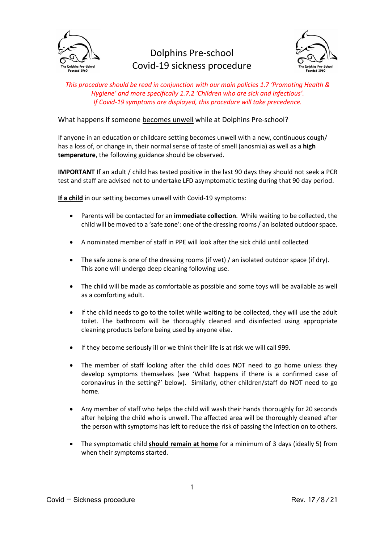

## Dolphins Pre-school Covid-19 sickness procedure



*This procedure should be read in conjunction with our main policies 1.7 'Promoting Health & Hygiene' and more specifically 1.7.2 'Children who are sick and infectious'. If Covid-19 symptoms are displayed, this procedure will take precedence.*

## What happens if someone becomes unwell while at Dolphins Pre-school?

If anyone in an education or childcare setting becomes unwell with a new, continuous cough/ has a loss of, or change in, their normal sense of taste of smell (anosmia) as well as a **high temperature**, the following guidance should be observed.

**IMPORTANT** If an adult / child has tested positive in the last 90 days they should not seek a PCR test and staff are advised not to undertake LFD asymptomatic testing during that 90 day period.

**If a child** in our setting becomes unwell with Covid-19 symptoms:

- Parents will be contacted for an **immediate collection**. While waiting to be collected, the child will be moved to a 'safe zone': one of the dressing rooms / an isolated outdoor space.
- A nominated member of staff in PPE will look after the sick child until collected
- The safe zone is one of the dressing rooms (if wet) / an isolated outdoor space (if dry). This zone will undergo deep cleaning following use.
- The child will be made as comfortable as possible and some toys will be available as well as a comforting adult.
- If the child needs to go to the toilet while waiting to be collected, they will use the adult toilet. The bathroom will be thoroughly cleaned and disinfected using appropriate cleaning products before being used by anyone else.
- If they become seriously ill or we think their life is at risk we will call 999.
- The member of staff looking after the child does NOT need to go home unless they develop symptoms themselves (see 'What happens if there is a confirmed case of coronavirus in the setting?' below). Similarly, other children/staff do NOT need to go home.
- Any member of staff who helps the child will wash their hands thoroughly for 20 seconds after helping the child who is unwell. The affected area will be thoroughly cleaned after the person with symptoms has left to reduce the risk of passing the infection on to others.
- The symptomatic child **should remain at home** for a minimum of 3 days (ideally 5) from when their symptoms started.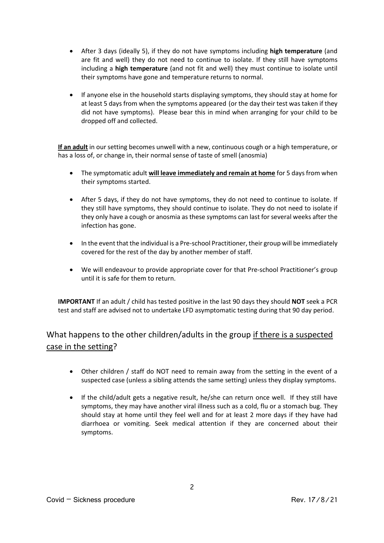- After 3 days (ideally 5), if they do not have symptoms including **high temperature** (and are fit and well) they do not need to continue to isolate. If they still have symptoms including a **high temperature** (and not fit and well) they must continue to isolate until their symptoms have gone and temperature returns to normal.
- If anyone else in the household starts displaying symptoms, they should stay at home for at least 5 days from when the symptoms appeared (or the day their test was taken if they did not have symptoms). Please bear this in mind when arranging for your child to be dropped off and collected.

**If an adult** in our setting becomes unwell with a new, continuous cough or a high temperature, or has a loss of, or change in, their normal sense of taste of smell (anosmia)

- The symptomatic adult **will leave immediately and remain at home** for 5 days from when their symptoms started.
- After 5 days, if they do not have symptoms, they do not need to continue to isolate. If they still have symptoms, they should continue to isolate. They do not need to isolate if they only have a cough or anosmia as these symptoms can last for several weeks after the infection has gone.
- In the event that the individual is a Pre-school Practitioner, their group will be immediately covered for the rest of the day by another member of staff.
- We will endeavour to provide appropriate cover for that Pre-school Practitioner's group until it is safe for them to return.

**IMPORTANT** If an adult / child has tested positive in the last 90 days they should **NOT** seek a PCR test and staff are advised not to undertake LFD asymptomatic testing during that 90 day period.

## What happens to the other children/adults in the group if there is a suspected case in the setting?

- Other children / staff do NOT need to remain away from the setting in the event of a suspected case (unless a sibling attends the same setting) unless they display symptoms.
- If the child/adult gets a negative result, he/she can return once well. If they still have symptoms, they may have another viral illness such as a cold, flu or a stomach bug. They should stay at home until they feel well and for at least 2 more days if they have had diarrhoea or vomiting. Seek medical attention if they are concerned about their symptoms.